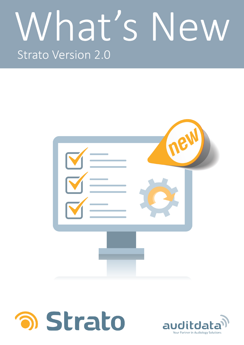# What's New Strato Version 2.0





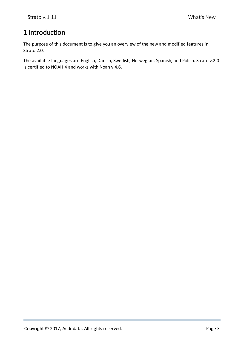## <span id="page-2-0"></span>1 Introduction

The purpose of this document is to give you an overview of the new and modified features in Strato 2.0.

The available languages are English, Danish, Swedish, Norwegian, Spanish, and Polish. Strato v.2.0 is certified to NOAH 4 and works with Noah v.4.6.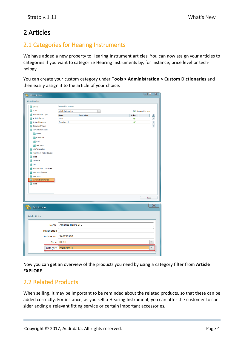## <span id="page-3-1"></span><span id="page-3-0"></span>2 Articles

#### 2.1 Categories for Hearing Instruments

We have added a new property to Hearing Instrument articles. You can now assign your articles to categories if you want to categorize Hearing Instruments by, for instance, price level or technology.

You can create your custom category under **Tools > Administration > Custom Dictionaries** and then easily assign it to the article of your choice.

| Administration                           |                                                                         |                               |
|------------------------------------------|-------------------------------------------------------------------------|-------------------------------|
| offices                                  | <b>Custom Dictionaries</b>                                              |                               |
| <b>Users</b>                             | Show Active only<br><b>Article Categories</b><br>$\overline{\mathbf v}$ |                               |
| Appointment Types                        | <b>Name</b><br><b>Description</b>                                       | $\pm$<br>Active               |
| <b>Activity Types</b>                    | <b>Basic</b>                                                            | $\overline{\mathscr{E}}$<br>✔ |
| <b>Referral Sources</b>                  | Premium HI                                                              | 十十<br>✔                       |
| <b>Document Types</b>                    |                                                                         |                               |
| <b>EXPLORE Templates</b>                 |                                                                         |                               |
| Client                                   |                                                                         |                               |
| Scheduler                                |                                                                         |                               |
| <b>Stock</b>                             |                                                                         |                               |
| Sale Item                                |                                                                         |                               |
| Sale Templates                           |                                                                         |                               |
| <b>Stock Item Status Causes</b><br>Roles |                                                                         |                               |
| Suppliers<br>井崎                          |                                                                         |                               |
| <b>ENTS</b>                              |                                                                         |                               |
| <b>Appointment Outcomes</b>              |                                                                         |                               |
| <b>Insurance Groups</b>                  |                                                                         |                               |
| Insurance                                |                                                                         |                               |
| <b>Custom Dictionaries</b>               |                                                                         |                               |
| <b>Rules</b>                             |                                                                         |                               |
|                                          |                                                                         |                               |
|                                          |                                                                         |                               |
|                                          |                                                                         | Close                         |
| <b>Edit Article</b>                      |                                                                         | $\mathbf{x}$                  |
| <b>Main Data</b>                         |                                                                         |                               |
| Name                                     | <b>America Hears BTE</b>                                                |                               |
| Description                              |                                                                         |                               |
| Article No.                              | 546758570                                                               |                               |
| Type                                     | HI BTE                                                                  | $\overline{\phantom{a}}$      |
| Category                                 | <b>Premium HI</b>                                                       | $\overline{\phantom{a}}$      |

<span id="page-3-2"></span>Now you can get an overview of the products you need by using a category filter from **Article EXPLORE**.

#### 2.2 Related Products

When selling, it may be important to be reminded about the related products, so that these can be added correctly. For instance, as you sell a Hearing Instrument, you can offer the customer to consider adding a relevant fitting service or certain important accessories.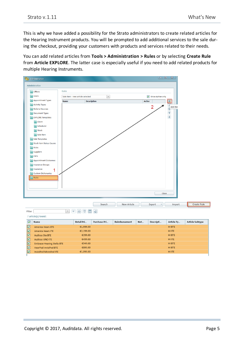This is why we have added a possibility for the Strato administrators to create related articles for the Hearing Instrument products. You will be prompted to add additional services to the sale during the checkout, providing your customers with products and services related to their needs.

You can add related articles from **Tools > Administration > Rules** or by selecting **Create Rule** from **Article EXPLORE**. The latter case is especially useful if you need to add related products for multiple Hearing Instruments.

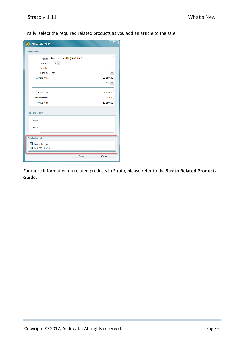Finally, select the required related products as you add an article to the sale.

| <b>Add Article to Sale</b>                           |                               |      | $\overline{\mathbf{x}}$  |
|------------------------------------------------------|-------------------------------|------|--------------------------|
| <b>Article Data</b>                                  |                               |      |                          |
| Article                                              | America Hears ITE (546758569) |      |                          |
| Quantity                                             | $\mathbf{1}$<br>÷             |      |                          |
| Supplier                                             |                               |      |                          |
| Ear Side                                             | Left                          |      | $\overline{\phantom{a}}$ |
| <b>Article Price</b>                                 |                               |      | €2,199.00                |
| <b>VAT</b>                                           |                               |      | 25%                      |
| <b>Sales Price</b>                                   |                               |      | €2,199.00                |
| Reimbursement                                        |                               |      | €0.00                    |
| <b>Private Price</b>                                 |                               |      | €2,199.00                |
| <b>Properties Left</b>                               |                               |      |                          |
| Colour                                               |                               |      |                          |
| <b>Notes</b>                                         |                               |      |                          |
| <b>Related Articles</b>                              |                               |      |                          |
| <b>Fitting Service</b><br><b>Remote Control</b><br>◡ |                               |      |                          |
|                                                      |                               | Save | Cancel                   |

For more information on related products in Strato, please refer to the **Strato Related Products Guide**.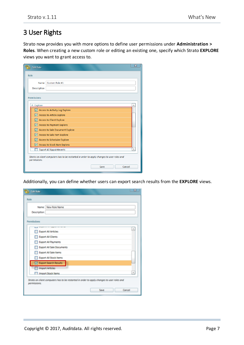## <span id="page-6-0"></span>3 User Rights

Strato now provides you with more options to define user permissions under **Administration > Roles**. When creating a new custom role or editing an existing one, specify which Strato **EXPLORE** views you want to grant access to.

| <b>Edit Role</b>    | $\overline{\mathbf{x}}$                                                                    |
|---------------------|--------------------------------------------------------------------------------------------|
| Role                |                                                                                            |
| Name<br>Description | Custom Role #1                                                                             |
| <b>Permissions</b>  |                                                                                            |
| <b>Explore</b><br>☆ |                                                                                            |
|                     | Access to Activity Log Explore<br>$\triangleright$ Access to Article Explore               |
|                     | $\triangleright$ Access to Client Explore<br>Access to Payment Explore                     |
| M                   | Access to Sale Document Explore<br>Access to Sale Item Explore                             |
|                     | $\triangleright$ Access to Scheduler Explore                                               |
|                     | Access to Stock Item Explore<br>÷<br><b>Export All Appointments</b>                        |
| permissions.        | Strato on client computers has to be restarted in order to apply changes to user roles and |
|                     | Cancel<br>Save                                                                             |

Additionally, you can define whether users can export search results from the **EXPLORE** views.

| <b>Edit Role</b> | 寓                                                                                                                                                      |
|------------------|--------------------------------------------------------------------------------------------------------------------------------------------------------|
| Role             |                                                                                                                                                        |
| Description      | Name New Role Name                                                                                                                                     |
| Permissions      |                                                                                                                                                        |
|                  | ×.<br>Export All Articles<br>Export All Clients<br>Export All Payments<br>Export All Sale Documents<br>Export All Sale Items<br>Export All Stock Items |
|                  | Deport Search Results<br>Import Articles<br>×<br>Import Stock Items                                                                                    |
| permissions.     | Strato on client computers has to be restarted in order to apply changes to user roles and<br>Cancel<br>Save                                           |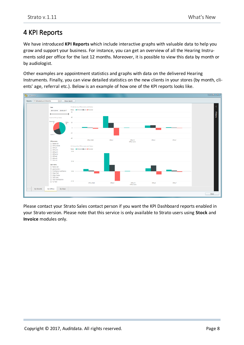## <span id="page-7-0"></span>4 KPI Reports

We have introduced **KPI Reports** which include interactive graphs with valuable data to help you grow and support your business. For instance, you can get an overview of all the Hearing Instruments sold per office for the last 12 months. Moreover, it is possible to view this data by month or by audiologist.

Other examples are appointment statistics and graphs with data on the delivered Hearing Instruments. Finally, you can view detailed statistics on the new clients in your stores (by month, clients' age, referral etc.). Below is an example of how one of the KPI reports looks like.



Please contact your Strato Sales contact person if you want the KPI Dashboard reports enabled in your Strato version. Please note that this service is only available to Strato users using **Stock** and **Invoice** modules only.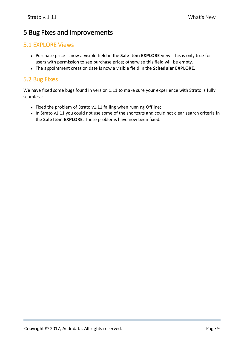#### <span id="page-8-1"></span><span id="page-8-0"></span>5 Bug Fixes and Improvements

#### 5.1 EXPLORE Views

- <sup>l</sup> Purchase price is now a visible field in the **Sale Item EXPLORE** view. This is only true for users with permission to see purchase price; otherwise this field will be empty.
- <span id="page-8-2"></span><sup>l</sup> The appointment creation date is now a visible field in the **Scheduler EXPLORE**.

#### 5.2 Bug Fixes

We have fixed some bugs found in version 1.11 to make sure your experience with Strato is fully seamless:

- Fixed the problem of Strato v1.11 failing when running Offline;
- In Strato v1.11 you could not use some of the shortcuts and could not clear search criteria in the **Sale Item EXPLORE**. These problems have now been fixed.